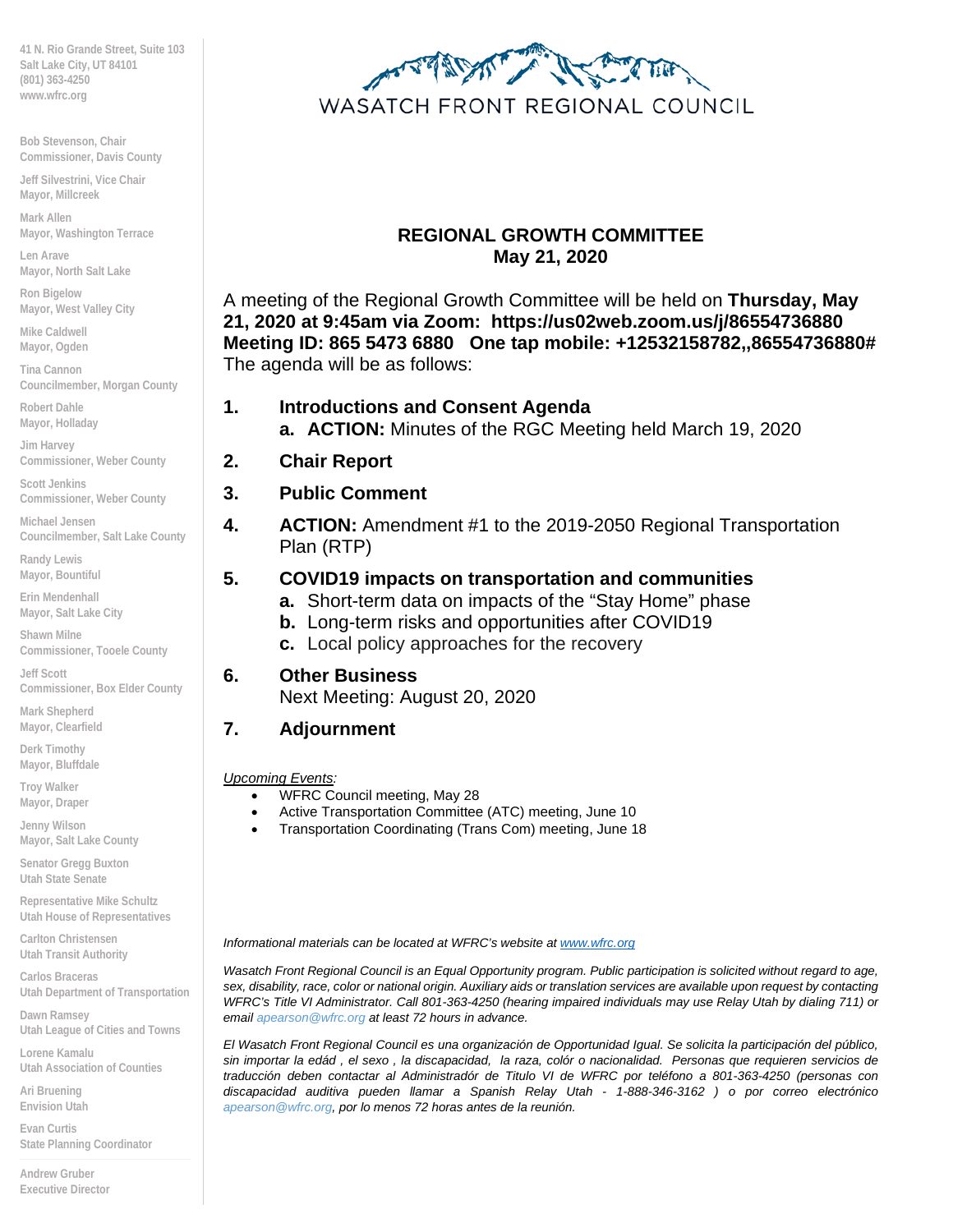**41 N. Rio Grande Street, Suite 103 Salt Lake City, UT 84101 (801) 363-4250 www.wfrc.org**

**Bob Stevenson, Chair Commissioner, Davis County**

**Jeff Silvestrini, Vice Chair Mayor, Millcreek**

**Mark Allen Mayor, Washington Terrace**

**Len Arave Mayor, North Salt Lake** 

**Ron Bigelow Mayor, West Valley City**

**Mike Caldwell Mayor, Ogden**

**Tina Cannon Councilmember, Morgan County**

**Robert Dahle Mayor, Holladay**

**Jim Harvey Commissioner, Weber County**

**Scott Jenkins Commissioner, Weber County**

**Michael Jensen Councilmember, Salt Lake County**

**Randy Lewis Mayor, Bountiful**

**Erin Mendenhall Mayor, Salt Lake City**

**Shawn Milne Commissioner, Tooele County**

**Jeff Scott Commissioner, Box Elder County**

**Mark Shepherd Mayor, Clearfield**

**Derk Timothy Mayor, Bluffdale**

**Troy Walker Mayor, Draper**

**Jenny Wilson Mayor, Salt Lake County**

**Senator Gregg Buxton Utah State Senate**

**Representative Mike Schultz Utah House of Representatives**

**Carlton Christensen Utah Transit Authority**

**Carlos Braceras Utah Department of Transportation**

**Dawn Ramsey Utah League of Cities and Towns**

**Lorene Kamalu Utah Association of Counties**

**Ari Bruening Envision Utah**

**Evan Curtis State Planning Coordinator \_\_\_\_\_\_\_\_\_\_\_\_\_\_\_\_\_\_\_\_\_\_\_\_\_\_\_\_\_\_**

**Andrew Gruber Executive Director**



### **REGIONAL GROWTH COMMITTEE May 21, 2020**

A meeting of the Regional Growth Committee will be held on **Thursday, May 21, 2020 at 9:45am via Zoom: https://us02web.zoom.us/j/86554736880 Meeting ID: 865 5473 6880 One tap mobile: +12532158782,,86554736880#** The agenda will be as follows:

### **1. Introductions and Consent Agenda**

**a. ACTION:** Minutes of the RGC Meeting held March 19, 2020

- **2. Chair Report**
- **3. Public Comment**
- **4. ACTION:** Amendment #1 to the 2019-2050 Regional Transportation Plan (RTP)

### **5. COVID19 impacts on transportation and communities**

- **a.** Short-term data on impacts of the "Stay Home" phase
- **b.** Long-term risks and opportunities after COVID19
- **c.** Local policy approaches for the recovery

### **6. Other Business**

Next Meeting: August 20, 2020

### **7. Adjournment**

*Upcoming Events:*

- WFRC Council meeting, May 28
- Active Transportation Committee (ATC) meeting, June 10
- Transportation Coordinating (Trans Com) meeting, June 18

*Informational materials can be located at WFRC's website at [www.wfrc.org](http://www.wfrc.org/)*

*Wasatch Front Regional Council is an Equal Opportunity program. Public participation is solicited without regard to age, sex, disability, race, color or national origin. Auxiliary aids or translation services are available upon request by contacting*  WFRC's Title VI Administrator. Call 801-363-4250 (hearing impaired individuals may use Relay Utah by dialing 711) or *email apearson@wfrc.org at least 72 hours in advance.* 

*El Wasatch Front Regional Council es una organización de Opportunidad Igual. Se solicita la participación del público, sin importar la edád , el sexo , la discapacidad, la raza, colór o nacionalidad. Personas que requieren servicios de traducción deben contactar al Administradór de Titulo VI de WFRC por teléfono a 801-363-4250 (personas con discapacidad auditiva pueden llamar a Spanish Relay Utah - 1-888-346-3162 ) o por correo electrónico apearson@wfrc.org, por lo menos 72 horas antes de la reunión.*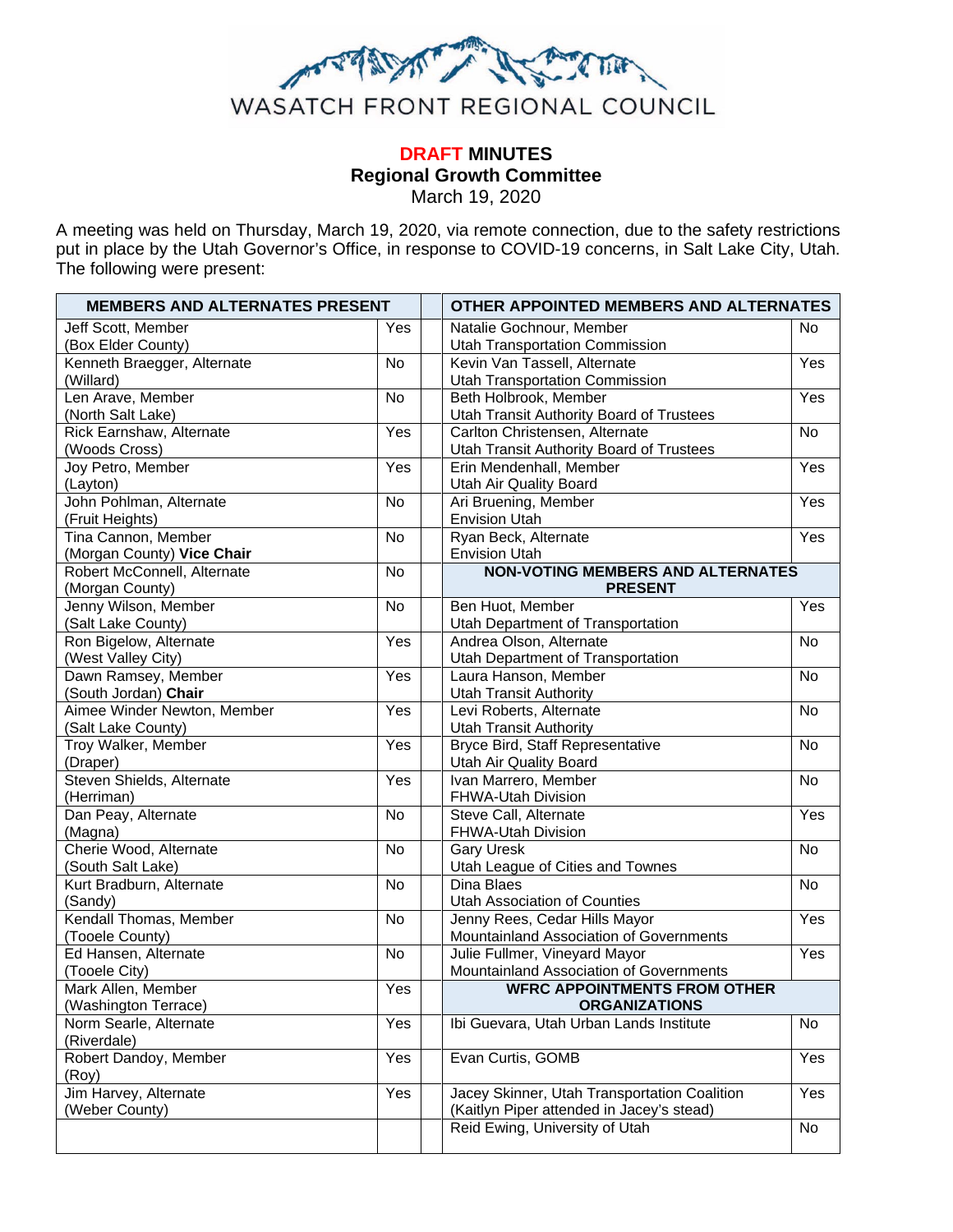

#### **DRAFT MINUTES Regional Growth Committee** March 19, 2020

A meeting was held on Thursday, March 19, 2020, via remote connection, due to the safety restrictions put in place by the Utah Governor's Office, in response to COVID-19 concerns, in Salt Lake City, Utah. The following were present:

| <b>MEMBERS AND ALTERNATES PRESENT</b>   |           | OTHER APPOINTED MEMBERS AND ALTERNATES |                                                                                           |           |  |
|-----------------------------------------|-----------|----------------------------------------|-------------------------------------------------------------------------------------------|-----------|--|
| Jeff Scott, Member                      | Yes       |                                        | Natalie Gochnour, Member                                                                  | <b>No</b> |  |
| (Box Elder County)                      |           |                                        | <b>Utah Transportation Commission</b>                                                     |           |  |
| Kenneth Braegger, Alternate             | No        |                                        | Kevin Van Tassell, Alternate                                                              | Yes       |  |
| (Willard)                               |           |                                        | <b>Utah Transportation Commission</b>                                                     |           |  |
| Len Arave, Member                       | No        |                                        | Beth Holbrook, Member                                                                     | Yes       |  |
| (North Salt Lake)                       |           |                                        | Utah Transit Authority Board of Trustees                                                  |           |  |
| Rick Earnshaw, Alternate                | Yes       |                                        | Carlton Christensen, Alternate                                                            | <b>No</b> |  |
| (Woods Cross)                           |           |                                        | Utah Transit Authority Board of Trustees                                                  |           |  |
| Joy Petro, Member                       | Yes       |                                        | Erin Mendenhall, Member                                                                   | Yes       |  |
| (Layton)                                |           |                                        | Utah Air Quality Board                                                                    |           |  |
| John Pohlman, Alternate                 | No        |                                        | Ari Bruening, Member                                                                      | Yes       |  |
| (Fruit Heights)                         |           |                                        | <b>Envision Utah</b>                                                                      |           |  |
| Tina Cannon, Member                     | No        |                                        | Ryan Beck, Alternate                                                                      | Yes       |  |
| (Morgan County) Vice Chair              |           |                                        | <b>Envision Utah</b>                                                                      |           |  |
| Robert McConnell, Alternate             | <b>No</b> |                                        | <b>NON-VOTING MEMBERS AND ALTERNATES</b>                                                  |           |  |
| (Morgan County)                         |           |                                        | <b>PRESENT</b>                                                                            |           |  |
| Jenny Wilson, Member                    | <b>No</b> |                                        | Ben Huot, Member                                                                          | Yes       |  |
| (Salt Lake County)                      |           |                                        | Utah Department of Transportation                                                         |           |  |
| Ron Bigelow, Alternate                  | Yes       |                                        | Andrea Olson, Alternate                                                                   | No        |  |
| (West Valley City)                      |           |                                        | Utah Department of Transportation                                                         |           |  |
| Dawn Ramsey, Member                     | Yes       |                                        | Laura Hanson, Member                                                                      | No        |  |
| (South Jordan) Chair                    |           |                                        | <b>Utah Transit Authority</b>                                                             |           |  |
| Aimee Winder Newton, Member             | Yes       |                                        | Levi Roberts, Alternate                                                                   | No        |  |
| (Salt Lake County)                      |           |                                        | <b>Utah Transit Authority</b>                                                             |           |  |
| Troy Walker, Member                     | Yes       |                                        | Bryce Bird, Staff Representative                                                          | No        |  |
| (Draper)                                |           |                                        | Utah Air Quality Board                                                                    |           |  |
| Steven Shields, Alternate               | Yes       |                                        | Ivan Marrero, Member                                                                      | No        |  |
| (Herriman)                              |           |                                        | FHWA-Utah Division                                                                        |           |  |
| Dan Peay, Alternate                     | <b>No</b> |                                        | Steve Call, Alternate                                                                     | Yes       |  |
| (Magna)                                 |           |                                        | FHWA-Utah Division                                                                        |           |  |
| Cherie Wood, Alternate                  | <b>No</b> |                                        | <b>Gary Uresk</b>                                                                         | <b>No</b> |  |
| (South Salt Lake)                       |           |                                        | Utah League of Cities and Townes                                                          |           |  |
| Kurt Bradburn, Alternate                | <b>No</b> |                                        | Dina Blaes                                                                                | <b>No</b> |  |
| (Sandy)                                 |           |                                        | Utah Association of Counties                                                              |           |  |
| Kendall Thomas, Member                  | <b>No</b> |                                        | Jenny Rees, Cedar Hills Mayor                                                             | Yes       |  |
| (Tooele County)<br>Ed Hansen, Alternate |           |                                        | Mountainland Association of Governments                                                   | Yes       |  |
|                                         | No        |                                        | Julie Fullmer, Vineyard Mayor                                                             |           |  |
| (Tooele City)                           |           |                                        | Mountainland Association of Governments<br><b>WFRC APPOINTMENTS FROM OTHER</b>            |           |  |
| Mark Allen, Member                      | Yes       |                                        |                                                                                           |           |  |
| (Washington Terrace)                    |           |                                        | <b>ORGANIZATIONS</b>                                                                      |           |  |
| Norm Searle, Alternate                  | Yes       |                                        | Ibi Guevara, Utah Urban Lands Institute                                                   | No        |  |
| (Riverdale)<br>Robert Dandoy, Member    |           |                                        | Evan Curtis, GOMB                                                                         |           |  |
| (Roy)                                   | Yes       |                                        |                                                                                           | Yes       |  |
| Jim Harvey, Alternate                   | Yes       |                                        |                                                                                           | Yes       |  |
| (Weber County)                          |           |                                        | Jacey Skinner, Utah Transportation Coalition<br>(Kaitlyn Piper attended in Jacey's stead) |           |  |
|                                         |           |                                        | Reid Ewing, University of Utah                                                            | No        |  |
|                                         |           |                                        |                                                                                           |           |  |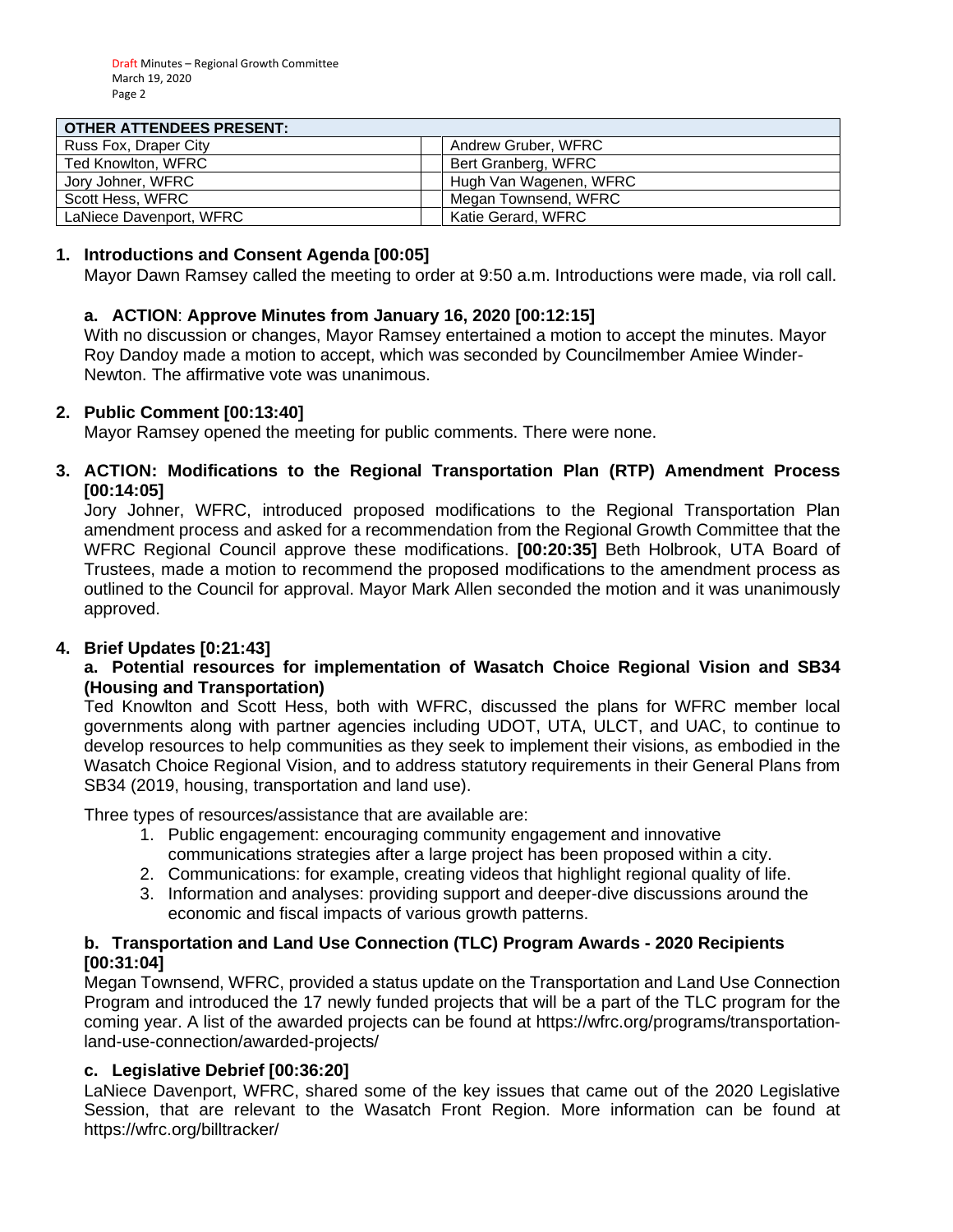#### **OTHER ATTENDEES PRESENT.**

| <u>UIHER AI IENDEES FRESENT.</u> |                        |
|----------------------------------|------------------------|
| Russ Fox, Draper City            | Andrew Gruber, WFRC    |
| Ted Knowlton, WFRC               | Bert Granberg, WFRC    |
| Jory Johner, WFRC                | Hugh Van Wagenen, WFRC |
| Scott Hess, WFRC                 | Megan Townsend, WFRC   |
| LaNiece Davenport, WFRC          | Katie Gerard, WFRC     |

#### **1. Introductions and Consent Agenda [00:05]**

Mayor Dawn Ramsey called the meeting to order at 9:50 a.m. Introductions were made, via roll call.

#### **a. ACTION**: **Approve Minutes from January 16, 2020 [00:12:15]**

With no discussion or changes, Mayor Ramsey entertained a motion to accept the minutes. Mayor Roy Dandoy made a motion to accept, which was seconded by Councilmember Amiee Winder-Newton. The affirmative vote was unanimous.

#### **2. Public Comment [00:13:40]**

Mayor Ramsey opened the meeting for public comments. There were none.

#### **3. ACTION: Modifications to the Regional Transportation Plan (RTP) Amendment Process [00:14:05]**

Jory Johner, WFRC, introduced proposed modifications to the Regional Transportation Plan amendment process and asked for a recommendation from the Regional Growth Committee that the WFRC Regional Council approve these modifications. **[00:20:35]** Beth Holbrook, UTA Board of Trustees, made a motion to recommend the proposed modifications to the amendment process as outlined to the Council for approval. Mayor Mark Allen seconded the motion and it was unanimously approved.

#### **4. Brief Updates [0:21:43]**

#### **a. Potential resources for implementation of Wasatch Choice Regional Vision and SB34 (Housing and Transportation)**

Ted Knowlton and Scott Hess, both with WFRC, discussed the plans for WFRC member local governments along with partner agencies including UDOT, UTA, ULCT, and UAC, to continue to develop resources to help communities as they seek to implement their visions, as embodied in the Wasatch Choice Regional Vision, and to address statutory requirements in their General Plans from SB34 (2019, housing, transportation and land use).

Three types of resources/assistance that are available are:

- 1. Public engagement: encouraging community engagement and innovative communications strategies after a large project has been proposed within a city.
- 2. Communications: for example, creating videos that highlight regional quality of life.
- 3. Information and analyses: providing support and deeper-dive discussions around the economic and fiscal impacts of various growth patterns.

#### **b. Transportation and Land Use Connection (TLC) Program Awards - 2020 Recipients [00:31:04]**

Megan Townsend, WFRC, provided a status update on the Transportation and Land Use Connection Program and introduced the 17 newly funded projects that will be a part of the TLC program for the coming year. A list of the awarded projects can be found at https://wfrc.org/programs/transportationland-use-connection/awarded-projects/

#### **c. Legislative Debrief [00:36:20]**

LaNiece Davenport, WFRC, shared some of the key issues that came out of the 2020 Legislative Session, that are relevant to the Wasatch Front Region. More information can be found at https://wfrc.org/billtracker/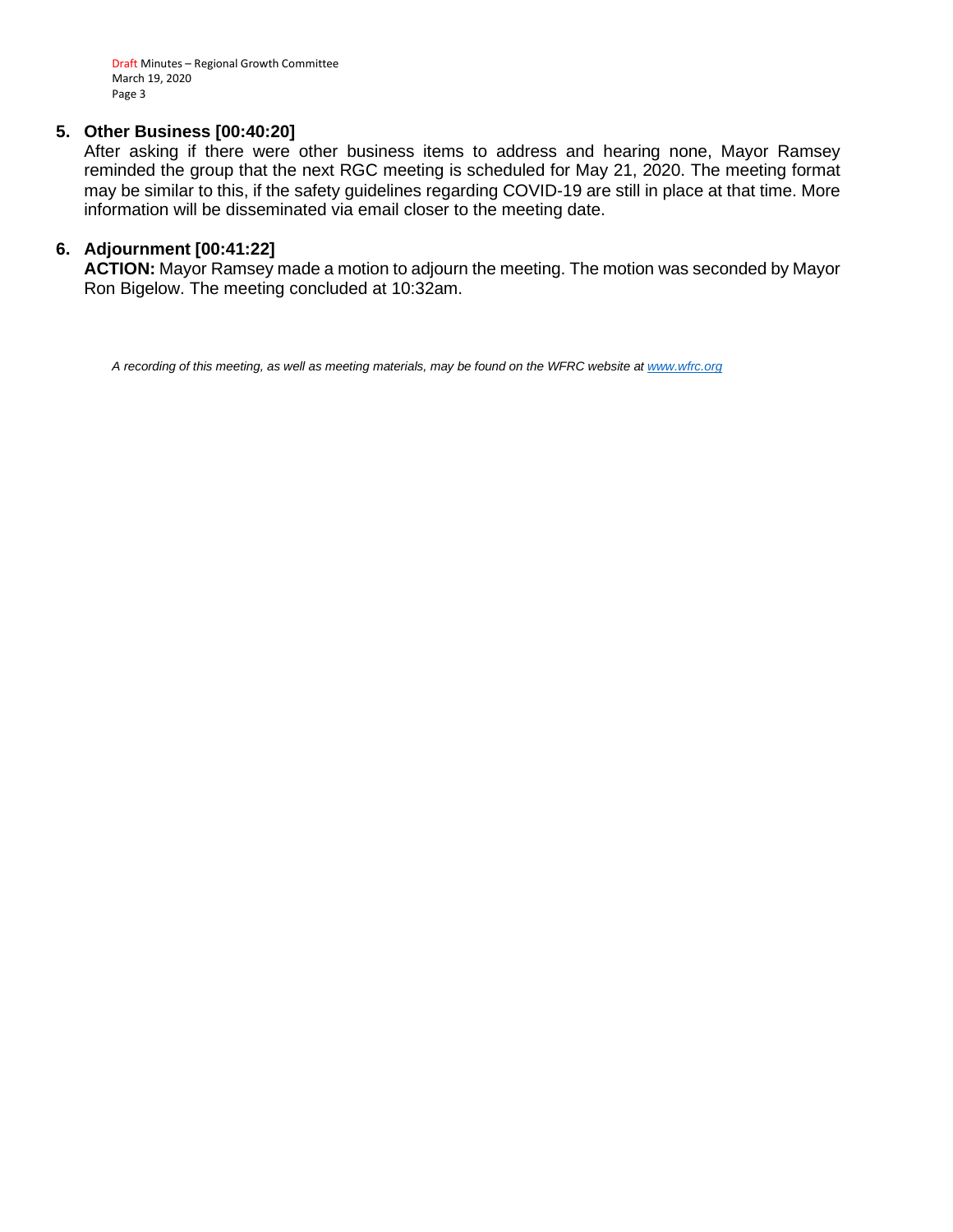Draft Minutes – Regional Growth Committee March 19, 2020 Page 3

#### **5. Other Business [00:40:20]**

After asking if there were other business items to address and hearing none, Mayor Ramsey reminded the group that the next RGC meeting is scheduled for May 21, 2020. The meeting format may be similar to this, if the safety guidelines regarding COVID-19 are still in place at that time. More information will be disseminated via email closer to the meeting date.

#### **6. Adjournment [00:41:22]**

**ACTION:** Mayor Ramsey made a motion to adjourn the meeting. The motion was seconded by Mayor Ron Bigelow. The meeting concluded at 10:32am.

*A recording of this meeting, as well as meeting materials, may be found on the WFRC website at [www.wfrc.org](http://www.wfrc.org/)*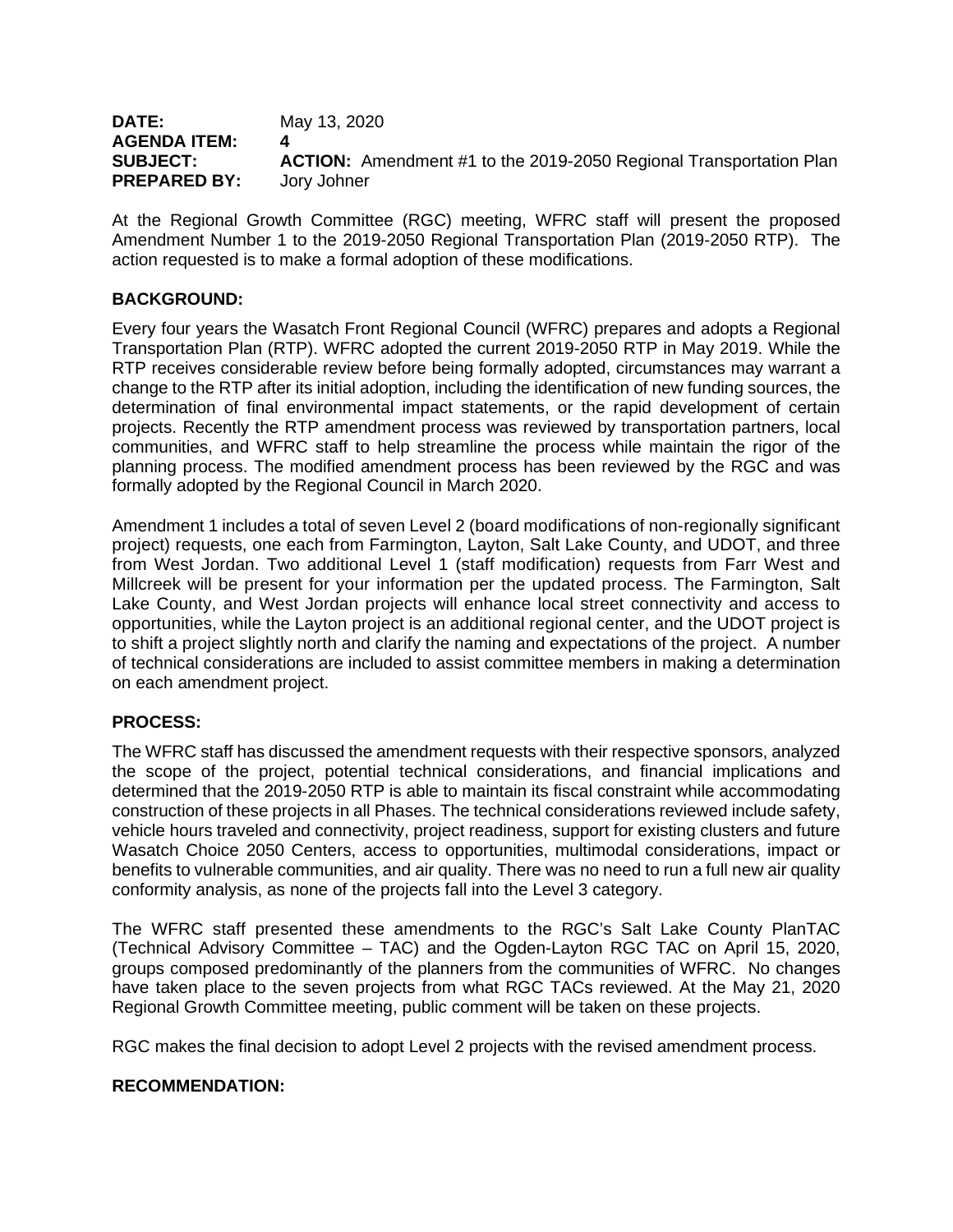| DATE:               | May 13, 2020                                                              |
|---------------------|---------------------------------------------------------------------------|
| <b>AGENDA ITEM:</b> |                                                                           |
| <b>SUBJECT:</b>     | <b>ACTION:</b> Amendment #1 to the 2019-2050 Regional Transportation Plan |
| <b>PREPARED BY:</b> | Jory Johner                                                               |

At the Regional Growth Committee (RGC) meeting, WFRC staff will present the proposed Amendment Number 1 to the 2019-2050 Regional Transportation Plan (2019-2050 RTP). The action requested is to make a formal adoption of these modifications.

#### **BACKGROUND:**

Every four years the Wasatch Front Regional Council (WFRC) prepares and adopts a Regional Transportation Plan (RTP). WFRC adopted the current 2019-2050 RTP in May 2019. While the RTP receives considerable review before being formally adopted, circumstances may warrant a change to the RTP after its initial adoption, including the identification of new funding sources, the determination of final environmental impact statements, or the rapid development of certain projects. Recently the RTP amendment process was reviewed by transportation partners, local communities, and WFRC staff to help streamline the process while maintain the rigor of the planning process. The modified amendment process has been reviewed by the RGC and was formally adopted by the Regional Council in March 2020.

Amendment 1 includes a total of seven Level 2 (board modifications of non-regionally significant project) requests, one each from Farmington, Layton, Salt Lake County, and UDOT, and three from West Jordan. Two additional Level 1 (staff modification) requests from Farr West and Millcreek will be present for your information per the updated process. The Farmington, Salt Lake County, and West Jordan projects will enhance local street connectivity and access to opportunities, while the Layton project is an additional regional center, and the UDOT project is to shift a project slightly north and clarify the naming and expectations of the project. A number of technical considerations are included to assist committee members in making a determination on each amendment project.

#### **PROCESS:**

The WFRC staff has discussed the amendment requests with their respective sponsors, analyzed the scope of the project, potential technical considerations, and financial implications and determined that the 2019-2050 RTP is able to maintain its fiscal constraint while accommodating construction of these projects in all Phases. The technical considerations reviewed include safety, vehicle hours traveled and connectivity, project readiness, support for existing clusters and future Wasatch Choice 2050 Centers, access to opportunities, multimodal considerations, impact or benefits to vulnerable communities, and air quality. There was no need to run a full new air quality conformity analysis, as none of the projects fall into the Level 3 category.

The WFRC staff presented these amendments to the RGC's Salt Lake County PlanTAC (Technical Advisory Committee – TAC) and the Ogden-Layton RGC TAC on April 15, 2020, groups composed predominantly of the planners from the communities of WFRC. No changes have taken place to the seven projects from what RGC TACs reviewed. At the May 21, 2020 Regional Growth Committee meeting, public comment will be taken on these projects.

RGC makes the final decision to adopt Level 2 projects with the revised amendment process.

#### **RECOMMENDATION:**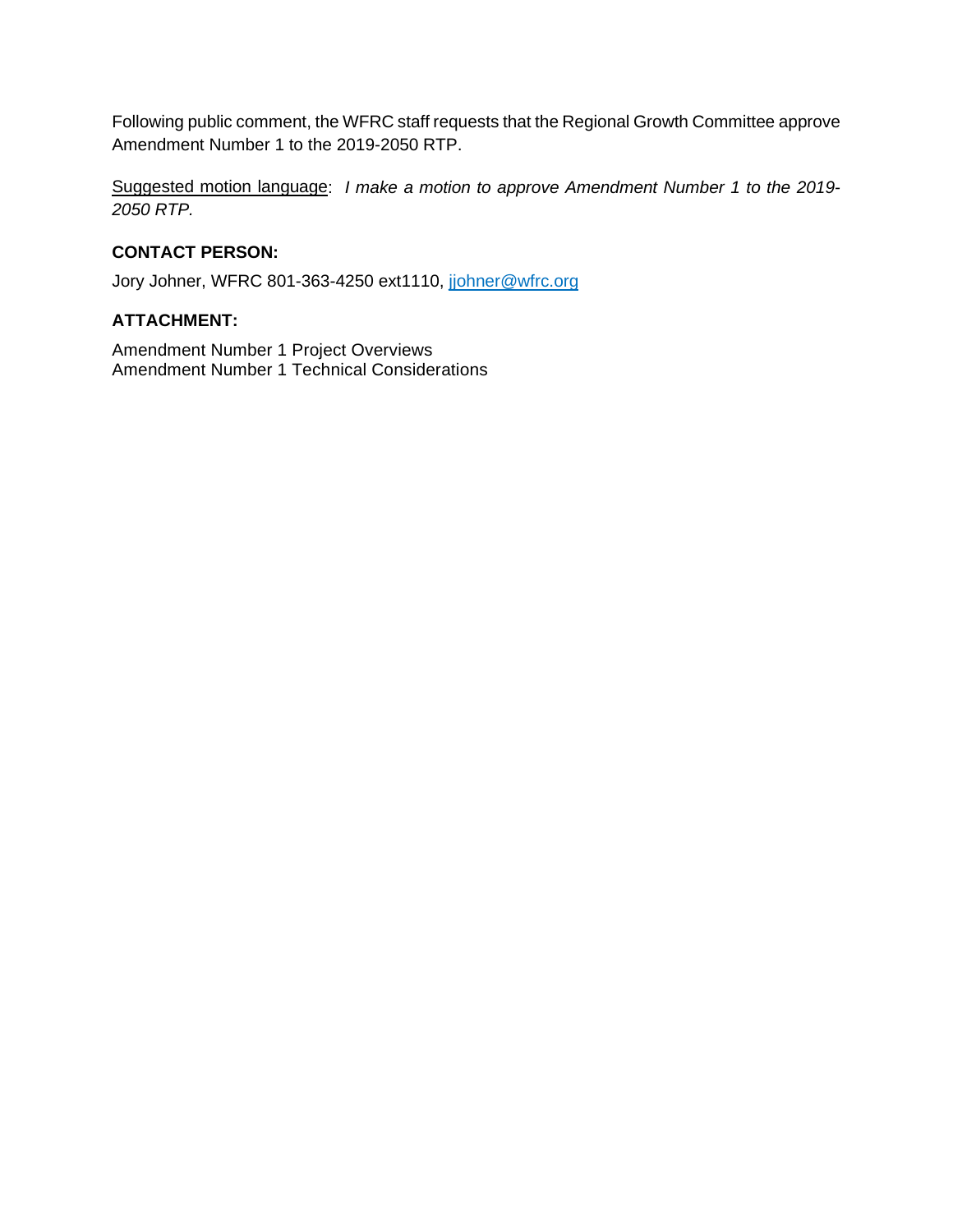Following public comment, the WFRC staff requests that the Regional Growth Committee approve Amendment Number 1 to the 2019-2050 RTP.

Suggested motion language: *I make a motion to approve Amendment Number 1 to the 2019- 2050 RTP.*

#### **CONTACT PERSON:**

Jory Johner, WFRC 801-363-4250 ext1110, johner@wfrc.org

#### **ATTACHMENT:**

Amendment Number 1 Project Overviews Amendment Number 1 Technical Considerations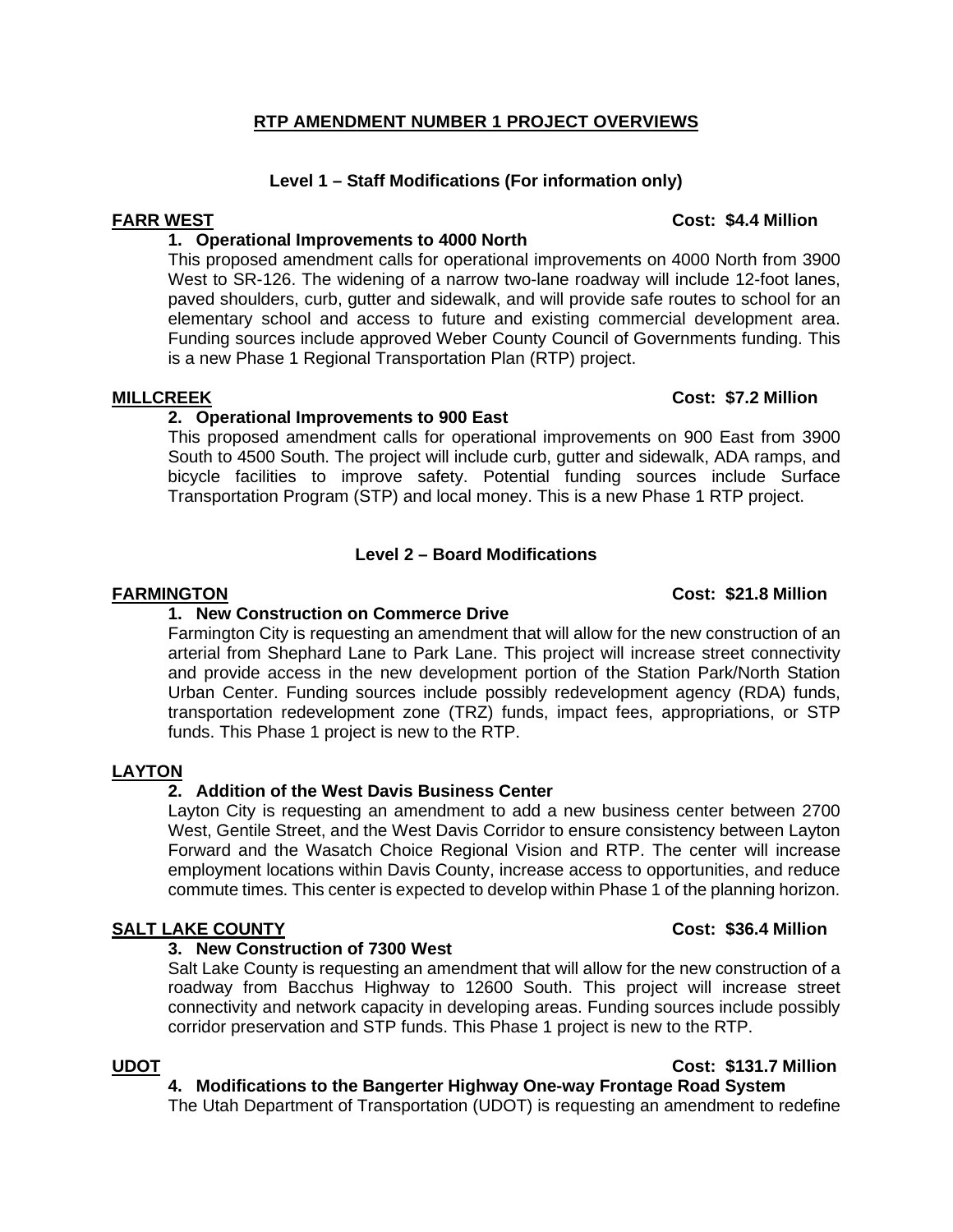#### **RTP AMENDMENT NUMBER 1 PROJECT OVERVIEWS**

#### **Level 1 – Staff Modifications (For information only)**

#### **1. Operational Improvements to 4000 North**

This proposed amendment calls for operational improvements on 4000 North from 3900 West to SR-126. The widening of a narrow two-lane roadway will include 12-foot lanes, paved shoulders, curb, gutter and sidewalk, and will provide safe routes to school for an elementary school and access to future and existing commercial development area. Funding sources include approved Weber County Council of Governments funding. This is a new Phase 1 Regional Transportation Plan (RTP) project.

#### **MILLCREEK Cost: \$7.2 Million**

#### **2. Operational Improvements to 900 East**

This proposed amendment calls for operational improvements on 900 East from 3900 South to 4500 South. The project will include curb, gutter and sidewalk, ADA ramps, and bicycle facilities to improve safety. Potential funding sources include Surface Transportation Program (STP) and local money. This is a new Phase 1 RTP project.

#### **Level 2 – Board Modifications**

#### **FARMINGTON Cost: \$21.8 Million**

#### **1. New Construction on Commerce Drive**

Farmington City is requesting an amendment that will allow for the new construction of an arterial from Shephard Lane to Park Lane. This project will increase street connectivity and provide access in the new development portion of the Station Park/North Station Urban Center. Funding sources include possibly redevelopment agency (RDA) funds, transportation redevelopment zone (TRZ) funds, impact fees, appropriations, or STP funds. This Phase 1 project is new to the RTP.

#### **LAYTON**

#### **2. Addition of the West Davis Business Center**

Layton City is requesting an amendment to add a new business center between 2700 West, Gentile Street, and the West Davis Corridor to ensure consistency between Layton Forward and the Wasatch Choice Regional Vision and RTP. The center will increase employment locations within Davis County, increase access to opportunities, and reduce commute times. This center is expected to develop within Phase 1 of the planning horizon.

### **SALT LAKE COUNTY Cost: \$36.4 Million**

#### **3. New Construction of 7300 West**

Salt Lake County is requesting an amendment that will allow for the new construction of a roadway from Bacchus Highway to 12600 South. This project will increase street connectivity and network capacity in developing areas. Funding sources include possibly corridor preservation and STP funds. This Phase 1 project is new to the RTP.

#### **UDOT Cost: \$131.7 Million 4. Modifications to the Bangerter Highway One-way Frontage Road System**

The Utah Department of Transportation (UDOT) is requesting an amendment to redefine

#### **FARR WEST Cost: \$4.4 Million**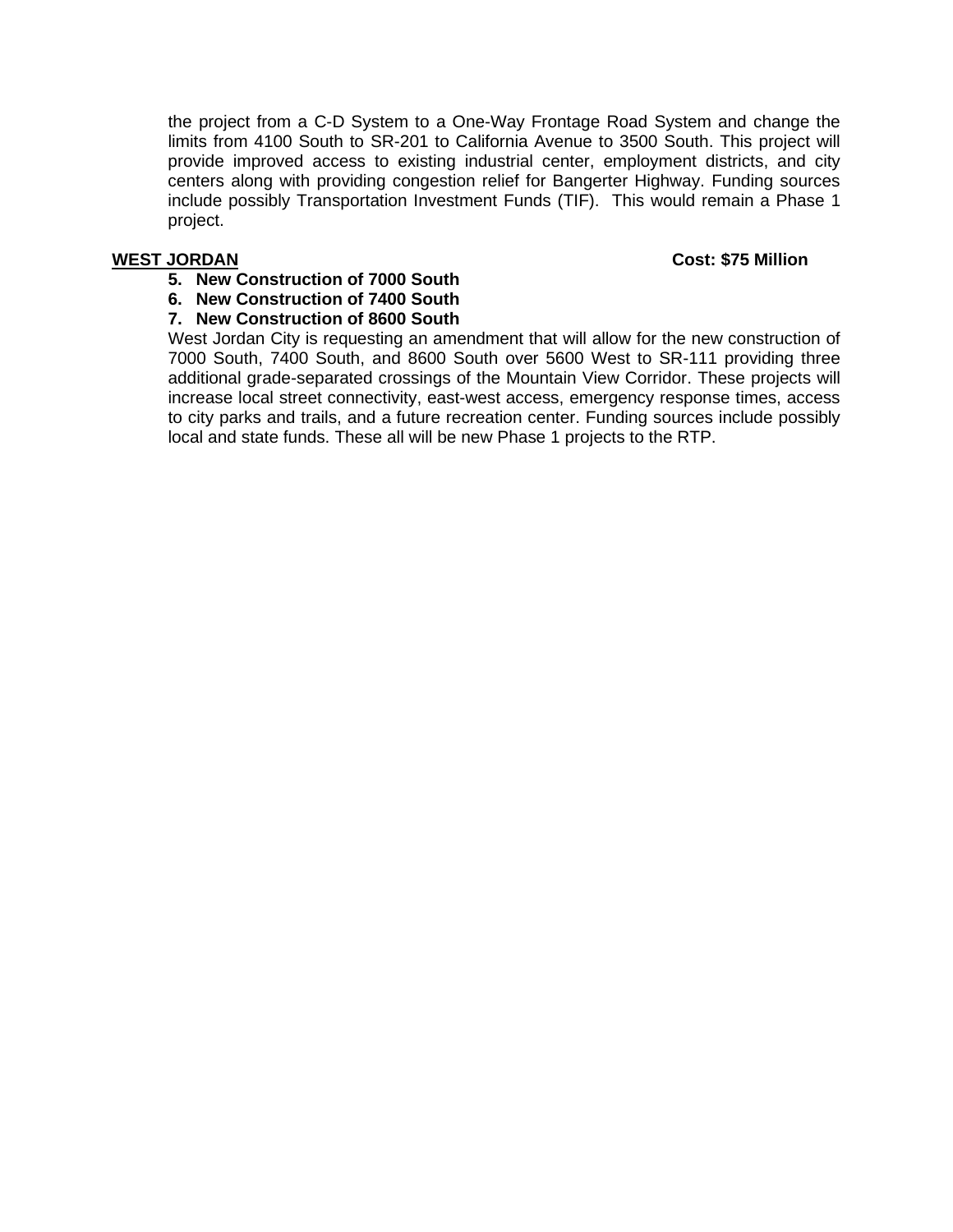the project from a C-D System to a One-Way Frontage Road System and change the limits from 4100 South to SR-201 to California Avenue to 3500 South. This project will provide improved access to existing industrial center, employment districts, and city centers along with providing congestion relief for Bangerter Highway. Funding sources include possibly Transportation Investment Funds (TIF). This would remain a Phase 1 project.

#### **WEST JORDAN Cost: \$75 Million**

- **5. New Construction of 7000 South**
- **6. New Construction of 7400 South**

#### **7. New Construction of 8600 South**

West Jordan City is requesting an amendment that will allow for the new construction of 7000 South, 7400 South, and 8600 South over 5600 West to SR-111 providing three additional grade-separated crossings of the Mountain View Corridor. These projects will increase local street connectivity, east-west access, emergency response times, access to city parks and trails, and a future recreation center. Funding sources include possibly local and state funds. These all will be new Phase 1 projects to the RTP.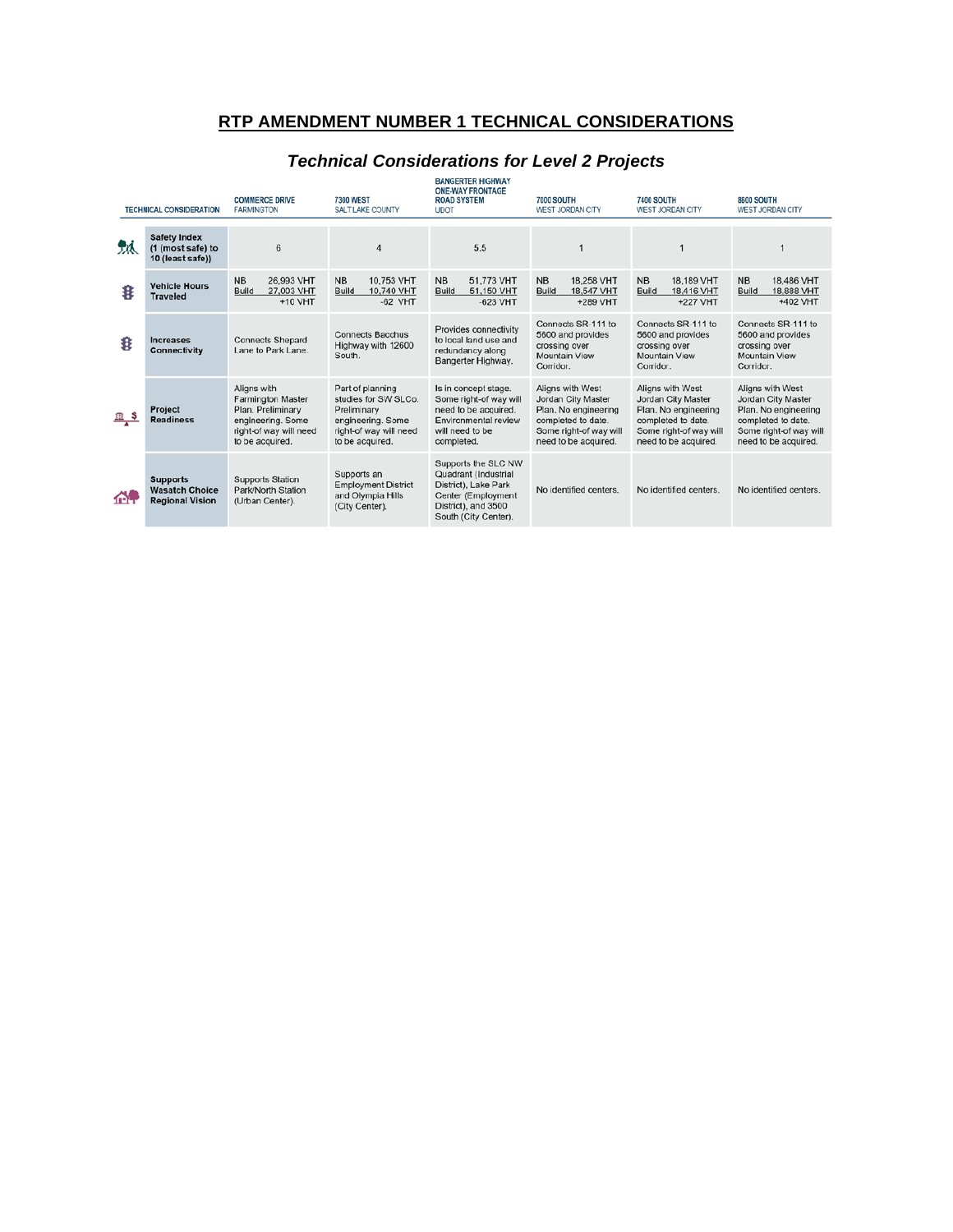### **RTP AMENDMENT NUMBER 1 TECHNICAL CONSIDERATIONS**

|    | <b>TECHNICAL CONSIDERATION</b>                                     | <b>COMMERCE DRIVE</b><br><b>FARMINGTON</b>                                                                                     | <b>7300 WEST</b><br>SALT LAKE COUNTY                                                                                      | <b>ONE-WAY FRONTAGE</b><br><b>ROAD SYSTEM</b><br><b>UDOT</b>                                                                             | <b>7000 SOUTH</b><br>WEST JORDAN CITY                                                                                                  | <b>7400 SOUTH</b><br>WEST JORDAN CITY                                                                                                  | <b>8600 SOUTH</b><br><b>WEST JORDAN CITY</b>                                                                                           |
|----|--------------------------------------------------------------------|--------------------------------------------------------------------------------------------------------------------------------|---------------------------------------------------------------------------------------------------------------------------|------------------------------------------------------------------------------------------------------------------------------------------|----------------------------------------------------------------------------------------------------------------------------------------|----------------------------------------------------------------------------------------------------------------------------------------|----------------------------------------------------------------------------------------------------------------------------------------|
| ЛA | <b>Safety Index</b><br>(1 (most safe) to<br>10 (least safe))       | 6                                                                                                                              | $\Delta$                                                                                                                  | 5.5                                                                                                                                      |                                                                                                                                        |                                                                                                                                        |                                                                                                                                        |
| 8  | <b>Vehicle Hours</b><br><b>Traveled</b>                            | <b>NB</b><br>26,993 VHT<br>Build<br>27,003 VHT<br>+10 VHT                                                                      | <b>NB</b><br>10,753 VHT<br>Build<br>10,740 VHT<br>$-62$ VHT                                                               | 51,773 VHT<br><b>NB</b><br>51,150 VHT<br>Build<br>$-623$ VHT                                                                             | <b>NB</b><br>18,258 VHT<br>18,547 VHT<br><b>Build</b><br>+289 VHT                                                                      | <b>NB</b><br>18,189 VHT<br>18,416 VHT<br>Build<br>+227 VHT                                                                             | <b>NB</b><br>18,486 VHT<br>18,888 VHT<br><b>Build</b><br>+402 VHT                                                                      |
| 8  | Increases<br>Connectivity                                          | <b>Connects Shepard</b><br>Lane to Park Lane.                                                                                  | <b>Connects Bacchus</b><br>Highway with 12600<br>South.                                                                   | Provides connectivity<br>to local land use and<br>redundancy along<br>Bangerter Highway.                                                 | Connects SR-111 to<br>5600 and provides<br>crossing over<br>Mountain View<br>Corridor.                                                 | Connects SR-111 to<br>5600 and provides<br>crossing over<br>Mountain View<br>Corridor.                                                 | Connects SR-111 to<br>5600 and provides<br>crossing over<br>Mountain View<br>Corridor.                                                 |
|    | Project<br><b>Readiness</b>                                        | Aligns with<br><b>Farmington Master</b><br>Plan. Preliminary<br>engineering. Some<br>right-of way will need<br>to be acquired. | Part of planning<br>studies for SW SLCo.<br>Preliminary<br>engineering. Some<br>right-of way will need<br>to be acquired. | Is in concept stage.<br>Some right-of way will<br>need to be acquired.<br>Environmental review<br>will need to be<br>completed.          | Aligns with West<br>Jordan City Master<br>Plan. No engineering<br>completed to date.<br>Some right-of way will<br>need to be acquired. | Aligns with West<br>Jordan City Master<br>Plan. No engineering<br>completed to date.<br>Some right-of way will<br>need to be acquired. | Aligns with West<br>Jordan City Master<br>Plan. No engineering<br>completed to date.<br>Some right-of way will<br>need to be acquired. |
| m  | <b>Supports</b><br><b>Wasatch Choice</b><br><b>Regional Vision</b> | <b>Supports Station</b><br>Park/North Station<br>(Urban Center).                                                               | Supports an<br><b>Employment District</b><br>and Olympia Hills<br>(City Center).                                          | Supports the SLC NW<br>Quadrant (Industrial<br>District), Lake Park<br>Center (Employment<br>District), and 3500<br>South (City Center). | No identified centers.                                                                                                                 | No identified centers.                                                                                                                 | No identified centers.                                                                                                                 |

# *Technical Considerations for Level 2 Projects*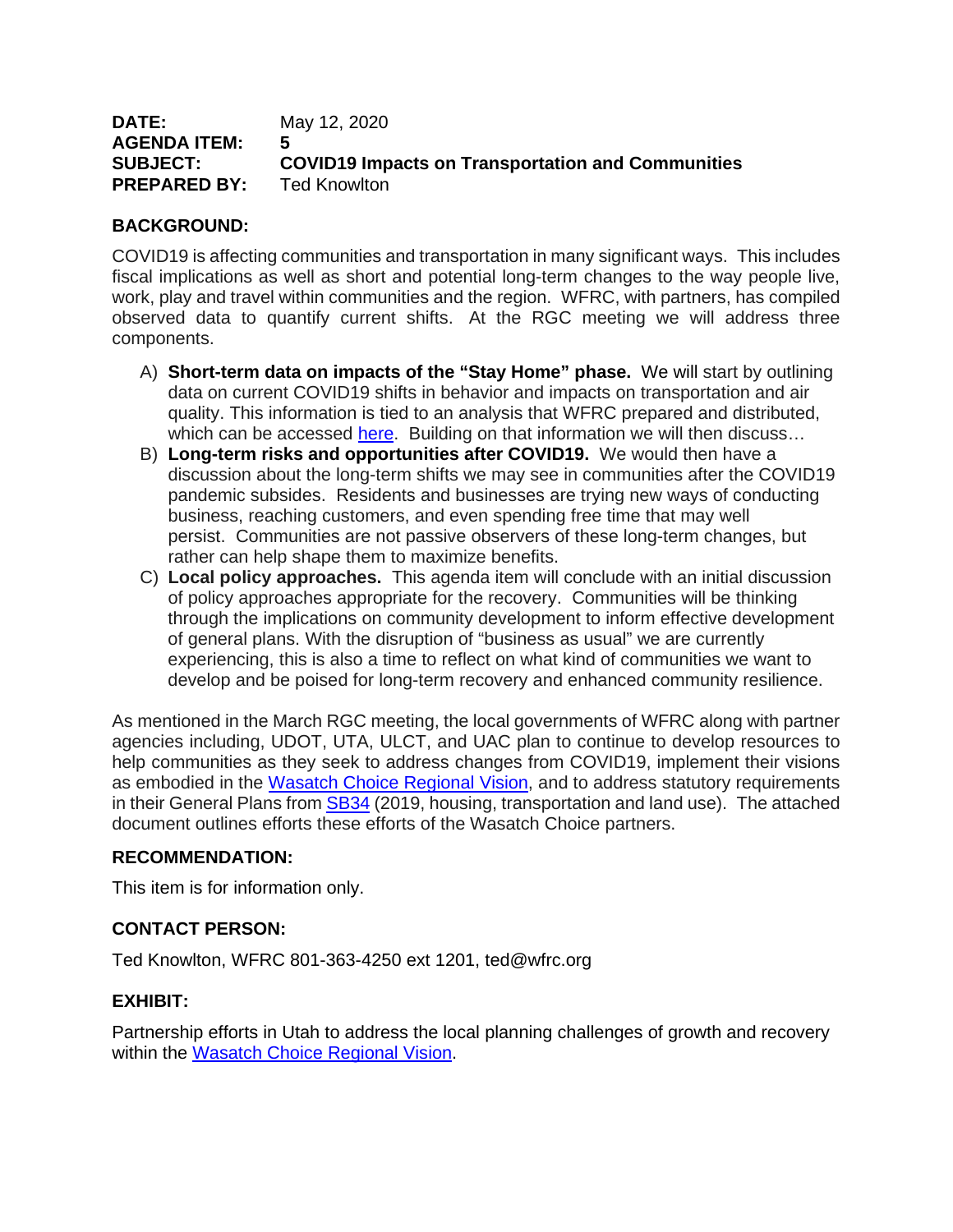| <b>DATE:</b>        | May 12, 2020                                             |
|---------------------|----------------------------------------------------------|
| AGENDA ITEM:        | 5                                                        |
| <b>SUBJECT:</b>     | <b>COVID19 Impacts on Transportation and Communities</b> |
| <b>PREPARED BY:</b> | Ted Knowlton                                             |

#### **BACKGROUND:**

COVID19 is affecting communities and transportation in many significant ways. This includes fiscal implications as well as short and potential long-term changes to the way people live, work, play and travel within communities and the region. WFRC, with partners, has compiled observed data to quantify current shifts. At the RGC meeting we will address three components.

- A) **Short-term data on impacts of the "Stay Home" phase.** We will start by outlining data on current COVID19 shifts in behavior and impacts on transportation and air quality. This information is tied to an analysis that WFRC prepared and distributed, which can be accessed [here.](https://docs.google.com/document/d/1yfrLHwpmEERRZzXZd-3uATTlUv-ZBLd7vIODi8gmCi0/edit) Building on that information we will then discuss...
- B) **Long-term risks and opportunities after COVID19.** We would then have a discussion about the long-term shifts we may see in communities after the COVID19 pandemic subsides. Residents and businesses are trying new ways of conducting business, reaching customers, and even spending free time that may well persist. Communities are not passive observers of these long-term changes, but rather can help shape them to maximize benefits.
- C) **Local policy approaches.** This agenda item will conclude with an initial discussion of policy approaches appropriate for the recovery. Communities will be thinking through the implications on community development to inform effective development of general plans. With the disruption of "business as usual" we are currently experiencing, this is also a time to reflect on what kind of communities we want to develop and be poised for long-term recovery and enhanced community resilience.

As mentioned in the March RGC meeting, the local governments of WFRC along with partner agencies including, UDOT, UTA, ULCT, and UAC plan to continue to develop resources to help communities as they seek to address changes from COVID19, implement their visions as embodied in the [Wasatch Choice Regional Vision,](https://wfrc.org/vision-plans/wasatch-choice-2050/) and to address statutory requirements in their General Plans from **SB34** (2019, housing, transportation and land use). The attached document outlines efforts these efforts of the Wasatch Choice partners.

### **RECOMMENDATION:**

This item is for information only.

### **CONTACT PERSON:**

Ted Knowlton, WFRC 801-363-4250 ext 1201, ted@wfrc.org

#### **EXHIBIT:**

Partnership efforts in Utah to address the local planning challenges of growth and recovery within the [Wasatch Choice Regional Vision.](https://wfrc.org/vision-plans/wasatch-choice-2050/)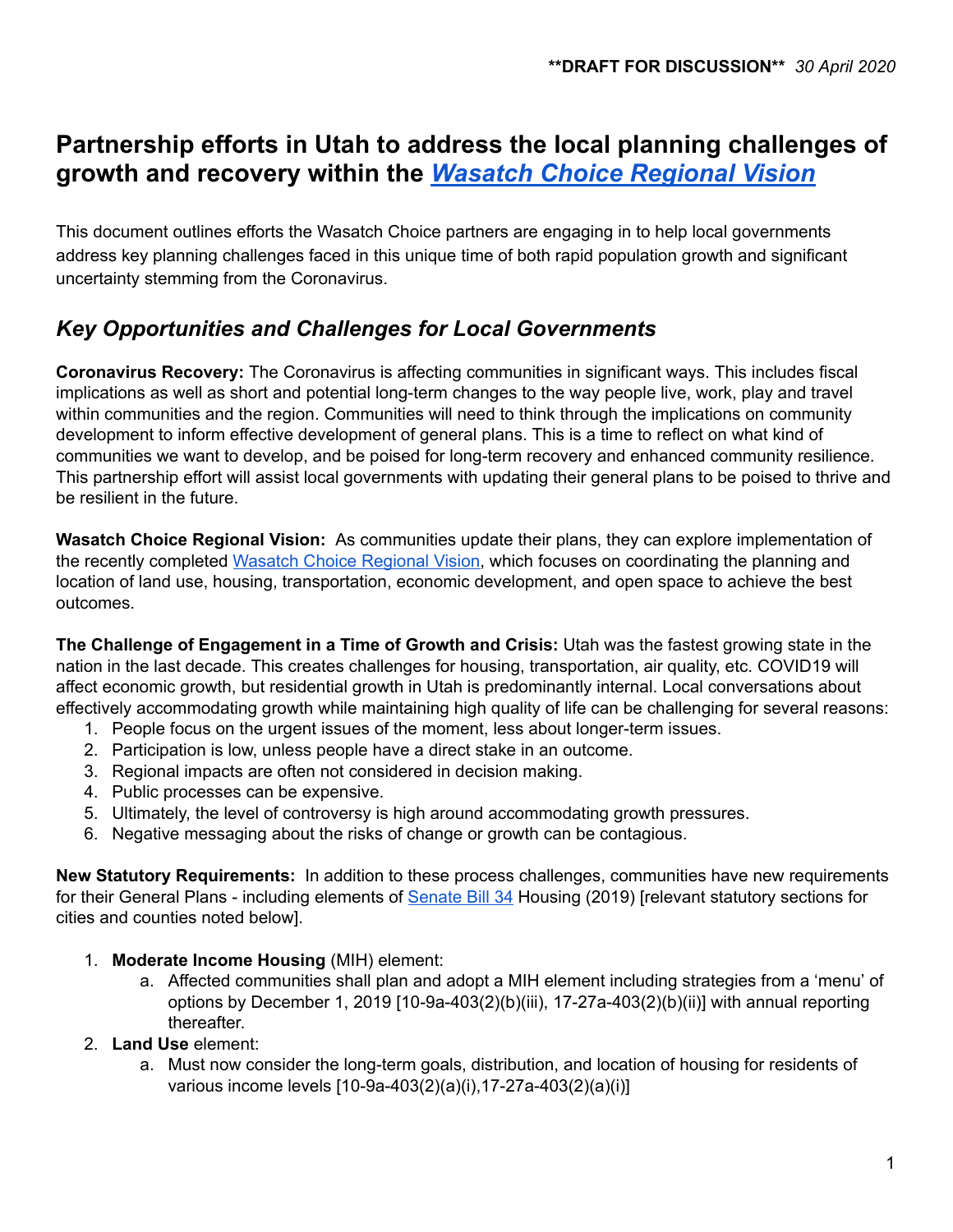# **Partnership efforts in Utah to address the local planning challenges of growth and recovery within the** *Wasatch Choice [Regional](https://wfrc.org/vision-plans/wasatch-choice-2050/) Vision*

This document outlines efforts the Wasatch Choice partners are engaging in to help local governments address key planning challenges faced in this unique time of both rapid population growth and significant uncertainty stemming from the Coronavirus.

# *Key Opportunities and Challenges for Local Governments*

**Coronavirus Recovery:** The Coronavirus is affecting communities in significant ways. This includes fiscal implications as well as short and potential long-term changes to the way people live, work, play and travel within communities and the region. Communities will need to think through the implications on community development to inform effective development of general plans. This is a time to reflect on what kind of communities we want to develop, and be poised for long-term recovery and enhanced community resilience. This partnership effort will assist local governments with updating their general plans to be poised to thrive and be resilient in the future.

**Wasatch Choice Regional Vision:** As communities update their plans, they can explore implementation of the recently completed Wasatch Choice [Regional](https://wfrc.org/vision-plans/wasatch-choice-2050/) Vision, which focuses on coordinating the planning and location of land use, housing, transportation, economic development, and open space to achieve the best outcomes.

**The Challenge of Engagement in a Time of Growth and Crisis:** Utah was the fastest growing state in the nation in the last decade. This creates challenges for housing, transportation, air quality, etc. COVID19 will affect economic growth, but residential growth in Utah is predominantly internal. Local conversations about effectively accommodating growth while maintaining high quality of life can be challenging for several reasons:

- 1. People focus on the urgent issues of the moment, less about longer-term issues.
- 2. Participation is low, unless people have a direct stake in an outcome.
- 3. Regional impacts are often not considered in decision making.
- 4. Public processes can be expensive.
- 5. Ultimately, the level of controversy is high around accommodating growth pressures.
- 6. Negative messaging about the risks of change or growth can be contagious.

**New Statutory Requirements:** In addition to these process challenges, communities have new requirements for their General Plans - including elements of [Senate](http://wfrc.maps.arcgis.com/apps/MapSeries/index.html?appid=50820dd5d2914b7da80e417dafe49d52) Bill 34 Housing (2019) [relevant statutory sections for cities and counties noted below].

- 1. **Moderate Income Housing** (MIH) element:
	- a. Affected communities shall plan and adopt a MIH element including strategies from a 'menu' of options by December 1, 2019 [10-9a-403(2)(b)(iii), 17-27a-403(2)(b)(ii)] with annual reporting thereafter.
- 2. **Land Use** element:
	- a. Must now consider the long-term goals, distribution, and location of housing for residents of various income levels [10-9a-403(2)(a)(i),17-27a-403(2)(a)(i)]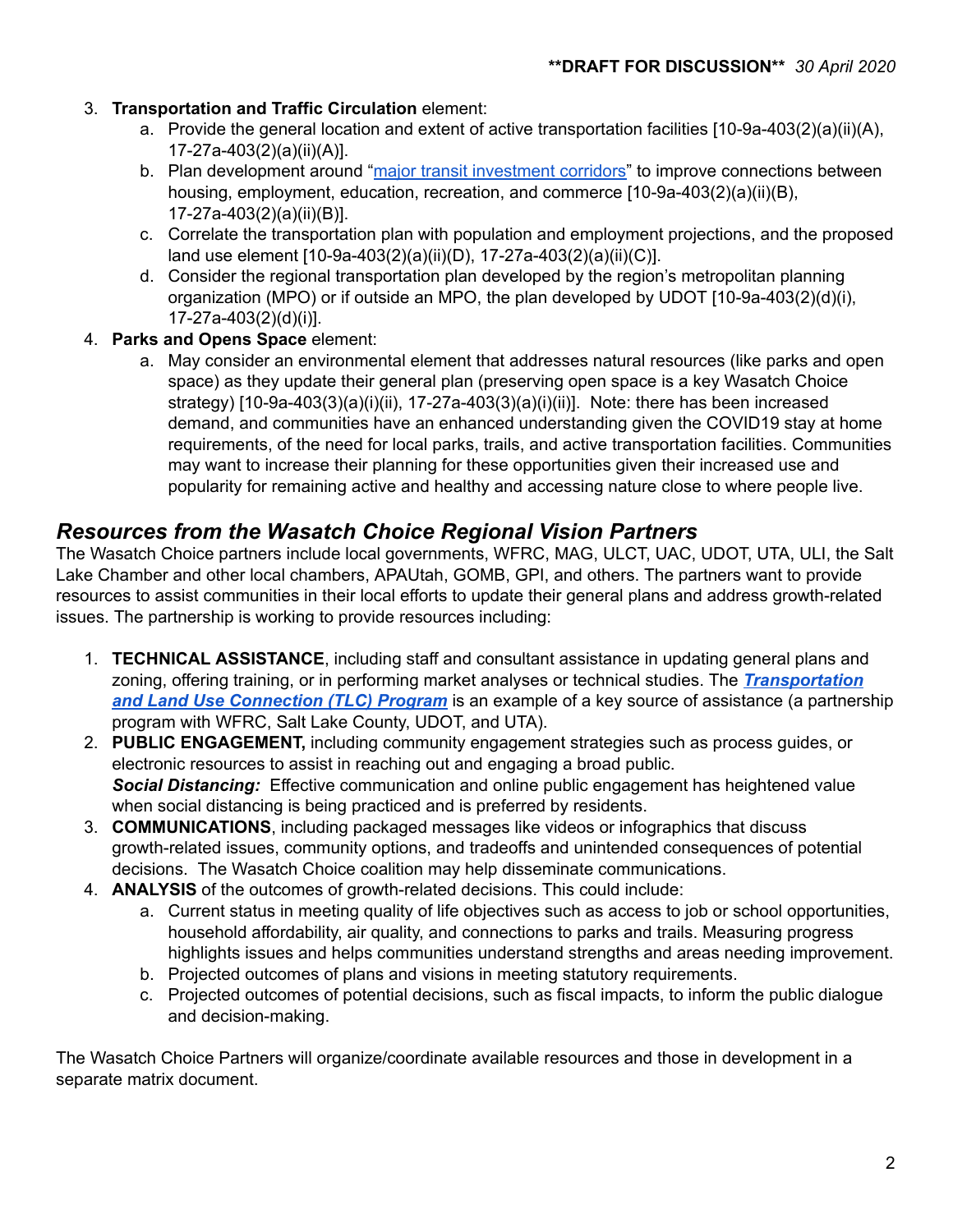### 3. **Transportation and Traffic Circulation** element:

- a. Provide the general location and extent of active transportation facilities [10-9a-403(2)(a)(ii)(A), 17-27a-403(2)(a)(ii)(A)].
- b. Plan development around "major transit [investment](http://wfrc.maps.arcgis.com/apps/MapSeries/index.html?appid=50820dd5d2914b7da80e417dafe49d52) corridors" to improve connections between housing, employment, education, recreation, and commerce [10-9a-403(2)(a)(ii)(B), 17-27a-403(2)(a)(ii)(B)].
- c. Correlate the transportation plan with population and employment projections, and the proposed land use element [10-9a-403(2)(a)(ii)(D), 17-27a-403(2)(a)(ii)(C)].
- d. Consider the regional transportation plan developed by the region's metropolitan planning organization (MPO) or if outside an MPO, the plan developed by UDOT [10-9a-403(2)(d)(i), 17-27a-403(2)(d)(i)].
- 4. **Parks and Opens Space** element:
	- a. May consider an environmental element that addresses natural resources (like parks and open space) as they update their general plan (preserving open space is a key Wasatch Choice strategy) [10-9a-403(3)(a)(i)(ii), 17-27a-403(3)(a)(i)(ii)]. Note: there has been increased demand, and communities have an enhanced understanding given the COVID19 stay at home requirements, of the need for local parks, trails, and active transportation facilities. Communities may want to increase their planning for these opportunities given their increased use and popularity for remaining active and healthy and accessing nature close to where people live.

## *Resources from the Wasatch Choice Regional Vision Partners*

The Wasatch Choice partners include local governments, WFRC, MAG, ULCT, UAC, UDOT, UTA, ULI, the Salt Lake Chamber and other local chambers, APAUtah, GOMB, GPI, and others. The partners want to provide resources to assist communities in their local efforts to update their general plans and address growth-related issues. The partnership is working to provide resources including:

- 1. **TECHNICAL ASSISTANCE**, including staff and consultant assistance in updating general plans and zoning, offering training, or in performing market analyses or technical studies. The *[Transportation](https://wfrc.org/programs/transportation-land-use-connection/) and Land Use [Connection](https://wfrc.org/programs/transportation-land-use-connection/) (TLC) Program* is an example of a key source of assistance (a partnership program with WFRC, Salt Lake County, UDOT, and UTA).
- 2. **PUBLIC ENGAGEMENT,** including community engagement strategies such as process guides, or electronic resources to assist in reaching out and engaging a broad public. *Social Distancing:* Effective communication and online public engagement has heightened value when social distancing is being practiced and is preferred by residents.
- 3. **COMMUNICATIONS**, including packaged messages like videos or infographics that discuss growth-related issues, community options, and tradeoffs and unintended consequences of potential decisions. The Wasatch Choice coalition may help disseminate communications.
- 4. **ANALYSIS** of the outcomes of growth-related decisions. This could include:
	- a. Current status in meeting quality of life objectives such as access to job or school opportunities, household affordability, air quality, and connections to parks and trails. Measuring progress highlights issues and helps communities understand strengths and areas needing improvement.
	- b. Projected outcomes of plans and visions in meeting statutory requirements.
	- c. Projected outcomes of potential decisions, such as fiscal impacts, to inform the public dialogue and decision-making.

The Wasatch Choice Partners will organize/coordinate available resources and those in development in a separate matrix document.